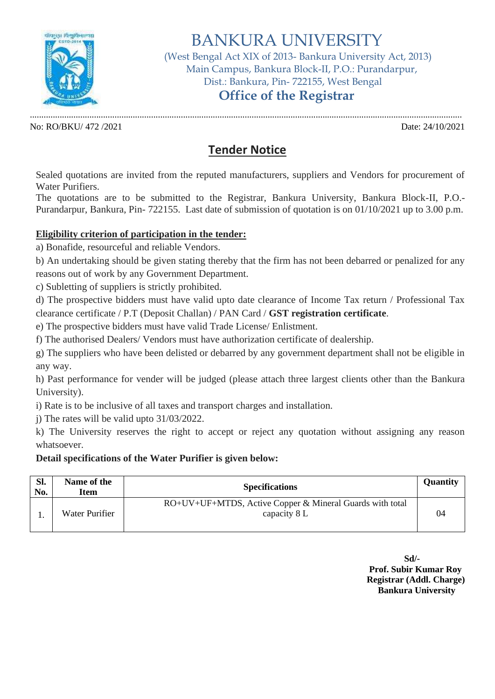

# BANKURA UNIVERSITY

 (West Bengal Act XIX of 2013- Bankura University Act, 2013) Main Campus, Bankura Block-II, P.O.: Purandarpur, Dist.: Bankura, Pin- 722155, West Bengal

## **Office of the Registrar**

No: RO/BKU/ 472 /2021 Date: 24/10/2021

.............................................................................................................................................................................................

## **Tender Notice**

Sealed quotations are invited from the reputed manufacturers, suppliers and Vendors for procurement of Water Purifiers.

The quotations are to be submitted to the Registrar, Bankura University, Bankura Block-II, P.O.- Purandarpur, Bankura, Pin- 722155. Last date of submission of quotation is on 01/10/2021 up to 3.00 p.m.

#### **Eligibility criterion of participation in the tender:**

a) Bonafide, resourceful and reliable Vendors.

b) An undertaking should be given stating thereby that the firm has not been debarred or penalized for any reasons out of work by any Government Department.

c) Subletting of suppliers is strictly prohibited.

d) The prospective bidders must have valid upto date clearance of Income Tax return / Professional Tax clearance certificate / P.T (Deposit Challan) / PAN Card / **GST registration certificate**.

e) The prospective bidders must have valid Trade License/ Enlistment.

f) The authorised Dealers/ Vendors must have authorization certificate of dealership.

g) The suppliers who have been delisted or debarred by any government department shall not be eligible in any way.

h) Past performance for vender will be judged (please attach three largest clients other than the Bankura University).

i) Rate is to be inclusive of all taxes and transport charges and installation.

j) The rates will be valid upto 31/03/2022.

k) The University reserves the right to accept or reject any quotation without assigning any reason whatsoever.

#### **Detail specifications of the Water Purifier is given below:**

| Sl.<br>No. | Name of the<br>Item | <b>Specifications</b>                                                    | <b>Quantity</b> |
|------------|---------------------|--------------------------------------------------------------------------|-----------------|
|            | Water Purifier      | RO+UV+UF+MTDS, Active Copper & Mineral Guards with total<br>capacity 8 L | 04              |

**Sd/- Prof. Subir Kumar Roy Registrar (Addl. Charge) Bankura University**